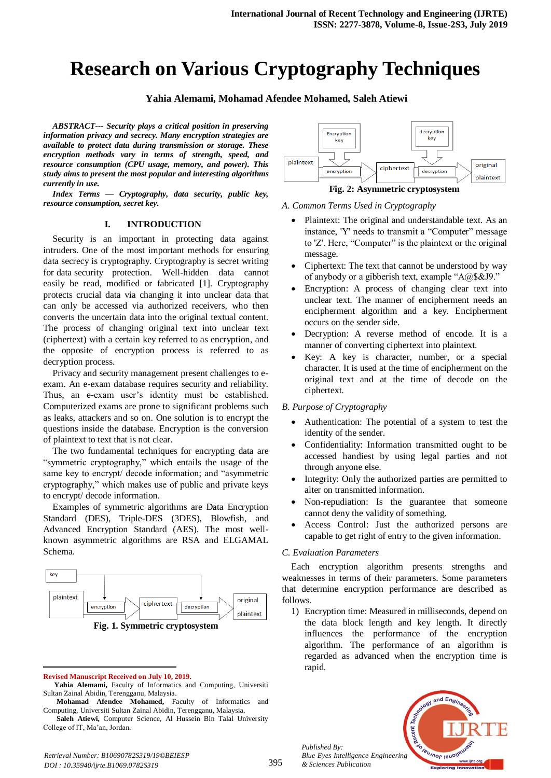# **Research on Various Cryptography Techniques**

**Yahia Alemami, Mohamad Afendee Mohamed, Saleh Atiewi**

*ABSTRACT--- Security plays a critical position in preserving information privacy and secrecy. Many encryption strategies are available to protect data during transmission or storage. These encryption methods vary in terms of strength, speed, and resource consumption (CPU usage, memory, and power). This study aims to present the most popular and interesting algorithms currently in use.*

*Index Terms — Cryptography, data security, public key, resource consumption, secret key.*

#### **I. INTRODUCTION**

Security is an important in protecting data against intruders. One of the most important methods for ensuring data secrecy is cryptography. Cryptography is secret writing for data security protection. Well-hidden data cannot easily be read, modified or fabricated [1]. Cryptography protects crucial data via changing it into unclear data that can only be accessed via authorized receivers, who then converts the uncertain data into the original textual content. The process of changing original text into unclear text (ciphertext) with a certain key referred to as encryption, and the opposite of encryption process is referred to as decryption process.

Privacy and security management present challenges to eexam. An e-exam database requires security and reliability. Thus, an e-exam user's identity must be established. Computerized exams are prone to significant problems such as leaks, attackers and so on. One solution is to encrypt the questions inside the database. Encryption is the conversion of plaintext to text that is not clear.

The two fundamental techniques for encrypting data are "symmetric cryptography," which entails the usage of the same key to encrypt/ decode information; and "asymmetric cryptography," which makes use of public and private keys to encrypt/ decode information.

Examples of symmetric algorithms are Data Encryption Standard (DES), Triple-DES (3DES), Blowfish, and Advanced Encryption Standard (AES). The most wellknown asymmetric algorithms are RSA and ELGAMAL Schema.



 $\overline{a}$ **Revised Manuscript Received on July 10, 2019.**

 **Yahia Alemami,** Faculty of Informatics and Computing, Universiti Sultan Zainal Abidin, Terengganu, Malaysia.

**Mohamad Afendee Mohamed,** Faculty of Informatics and Computing, Universiti Sultan Zainal Abidin, Terengganu, Malaysia.

**Saleh Atiewi,** Computer Science, Al Hussein Bin Talal University College of IT, Ma'an, Jordan.



*A. Common Terms Used in Cryptography*

- Plaintext: The original and understandable text. As an instance, 'Y' needs to transmit a "Computer" message to 'Z'. Here, "Computer" is the plaintext or the original message.
- Ciphertext: The text that cannot be understood by way of anybody or a gibberish text, example "A@\$&J9."
- Encryption: A process of changing clear text into unclear text. The manner of encipherment needs an encipherment algorithm and a key. Encipherment occurs on the sender side.
- Decryption: A reverse method of encode. It is a manner of converting ciphertext into plaintext.
- Key: A key is character, number, or a special character. It is used at the time of encipherment on the original text and at the time of decode on the ciphertext.

#### *B. Purpose of Cryptography*

- Authentication: The potential of a system to test the identity of the sender.
- Confidentiality: Information transmitted ought to be accessed handiest by using legal parties and not through anyone else.
- Integrity: Only the authorized parties are permitted to alter on transmitted information.
- Non-repudiation: Is the guarantee that someone cannot deny the validity of something.
- Access Control: Just the authorized persons are capable to get right of entry to the given information.

## *C. Evaluation Parameters*

Each encryption algorithm presents strengths and weaknesses in terms of their parameters. Some parameters that determine encryption performance are described as follows.

1) Encryption time: Measured in milliseconds, depend on the data block length and key length. It directly influences the performance of the encryption algorithm. The performance of an algorithm is regarded as advanced when the encryption time is rapid.



*Published By: Blue Eyes Intelligence Engineering & Sciences Publication*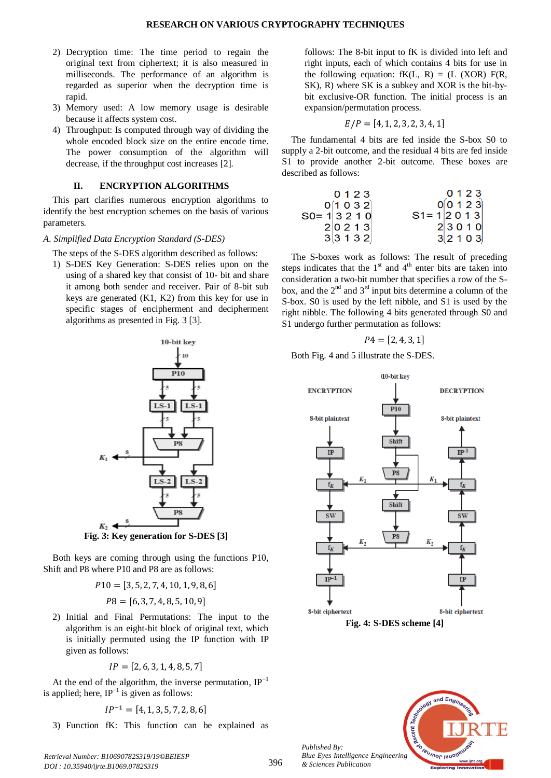- 2) Decryption time: The time period to regain the original text from ciphertext; it is also measured in milliseconds. The performance of an algorithm is regarded as superior when the decryption time is rapid.
- 3) Memory used: A low memory usage is desirable because it affects system cost.
- 4) Throughput: Is computed through way of dividing the whole encoded block size on the entire encode time. The power consumption of the algorithm will decrease, if the throughput cost increases [2].

# **II. ENCRYPTION ALGORITHMS**

This part clarifies numerous encryption algorithms to identify the best encryption schemes on the basis of various parameters.

## *A. Simplified Data Encryption Standard (S-DES)*

The steps of the S-DES algorithm described as follows:

1) S-DES Key Generation: S-DES relies upon on the using of a shared key that consist of 10- bit and share it among both sender and receiver. Pair of 8-bit sub keys are generated (K1, K2) from this key for use in specific stages of encipherment and decipherment algorithms as presented in Fig. 3 [3].



**Fig. 3: Key generation for S-DES [3]**

Both keys are coming through using the functions P10, Shift and P8 where P10 and P8 are as follows:

$$
P10 = [3, 5, 2, 7, 4, 10, 1, 9, 8, 6]
$$

$$
P8 = [6, 3, 7, 4, 8, 5, 10, 9]
$$

2) Initial and Final Permutations: The input to the algorithm is an eight-bit block of original text, which is initially permuted using the IP function with IP given as follows:

$$
IP = [2, 6, 3, 1, 4, 8, 5, 7]
$$

At the end of the algorithm, the inverse permutation,  $IP^{-1}$ is applied; here,  $IP^{-1}$  is given as follows:

$$
IP^{-1}=[4,1,3,5,7,2,8,6]
$$

3) Function fK: This function can be explained as

follows: The 8-bit input to fK is divided into left and right inputs, each of which contains 4 bits for use in the following equation:  $fK(L, R) = (L (XOR) F(R,$ SK), R) where SK is a subkey and XOR is the bit-bybit exclusive-OR function. The initial process is an expansion/permutation process.

$$
E/P = [4, 1, 2, 3, 2, 3, 4, 1]
$$

The fundamental 4 bits are fed inside the S-box S0 to supply a 2-bit outcome, and the residual 4 bits are fed inside S1 to provide another 2-bit outcome. These boxes are described as follows:

| 0 1 2 3                      | 0123           |
|------------------------------|----------------|
| 0(1032)                      | 0(0123)        |
| $SO = 1 \, 3 \, 2 \, 1 \, 0$ | $S1 = 1 2013 $ |
| 2 0213                       | 23010          |
| 3 3132                       | 3 2103         |

The S-boxes work as follows: The result of preceding steps indicates that the  $1<sup>st</sup>$  and  $4<sup>th</sup>$  enter bits are taken into consideration a two-bit number that specifies a row of the Sbox, and the  $2<sup>nd</sup>$  and  $3<sup>rd</sup>$  input bits determine a column of the S-box. S0 is used by the left nibble, and S1 is used by the right nibble. The following 4 bits generated through S0 and S1 undergo further permutation as follows:

$$
P4=[2,4,3,1]
$$

Both Fig. 4 and 5 illustrate the S-DES.



**Fig. 4: S-DES scheme [4]**



*Published By: Blue Eyes Intelligence Engineering & Sciences Publication* 

*Retrieval Number: B10690782S319/19©BEIESP DOI : 10.35940/ijrte.B1069.0782S319*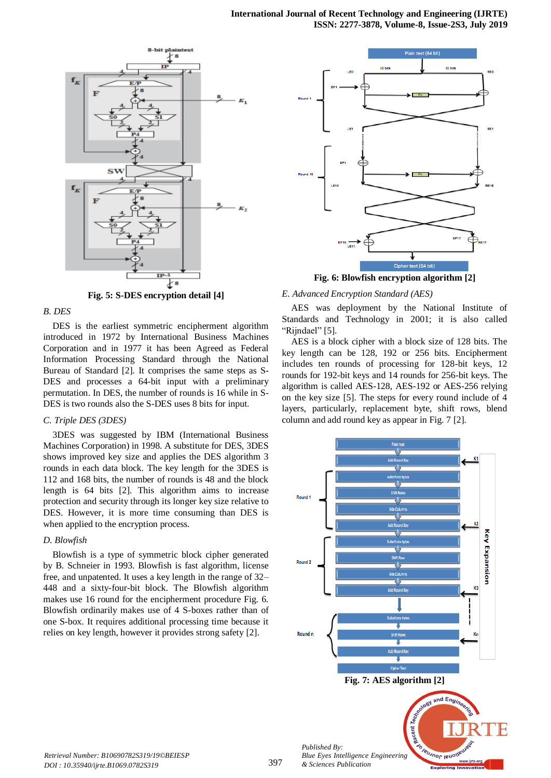

**Fig. 5: S-DES encryption detail [4]**

#### *B. DES*

DES is the earliest symmetric encipherment algorithm introduced in 1972 by International Business Machines Corporation and in 1977 it has been Agreed as Federal Information Processing Standard through the National Bureau of Standard [2]. It comprises the same steps as S-DES and processes a 64-bit input with a preliminary permutation. In DES, the number of rounds is 16 while in S-DES is two rounds also the S-DES uses 8 bits for input.

# *C. Triple DES (3DES)*

3DES was suggested by IBM (International Business Machines Corporation) in 1998. A substitute for DES, 3DES shows improved key size and applies the DES algorithm 3 rounds in each data block. The key length for the 3DES is 112 and 168 bits, the number of rounds is 48 and the block length is 64 bits [2]. This algorithm aims to increase protection and security through its longer key size relative to DES. However, it is more time consuming than DES is when applied to the encryption process.

#### *D. Blowfish*

Blowfish is a type of symmetric block cipher generated by B. Schneier in 1993. Blowfish is fast algorithm, license free, and unpatented. It uses a key length in the range of 32– 448 and a sixty-four-bit block. The Blowfish algorithm makes use 16 round for the encipherment procedure Fig. 6. Blowfish ordinarily makes use of 4 S-boxes rather than of one S-box. It requires additional processing time because it relies on key length, however it provides strong safety [2].



**Fig. 6: Blowfish encryption algorithm [2]**

#### *E. Advanced Encryption Standard (AES)*

AES was deployment by the National Institute of Standards and Technology in 2001; it is also called "Rijndael" [5].

AES is a block cipher with a block size of 128 bits. The key length can be 128, 192 or 256 bits. Encipherment includes ten rounds of processing for 128-bit keys, 12 rounds for 192-bit keys and 14 rounds for 256-bit keys. The algorithm is called AES-128, AES-192 or AES-256 relying on the key size [5]. The steps for every round include of 4 layers, particularly, replacement byte, shift rows, blend column and add round key as appear in Fig. 7 [2].



*Blue Eyes Intelligence Engineering & Sciences Publication*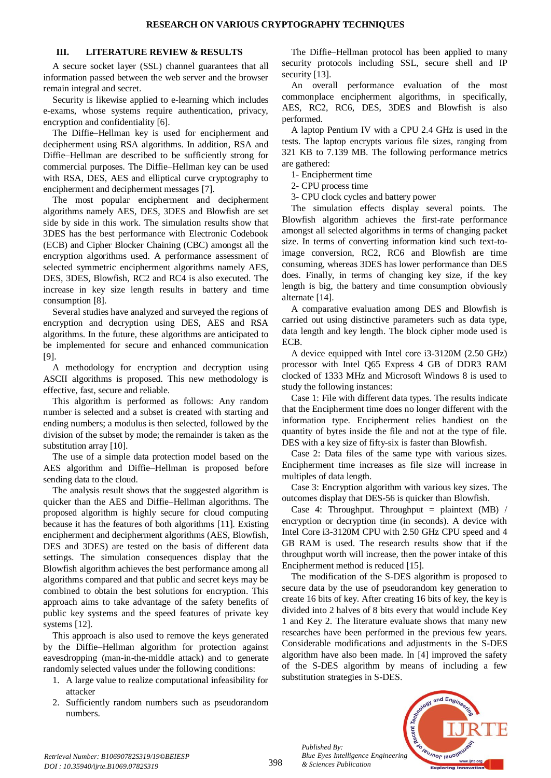# **III. LITERATURE REVIEW & RESULTS**

A secure socket layer (SSL) channel guarantees that all information passed between the web server and the browser remain integral and secret.

Security is likewise applied to e-learning which includes e-exams, whose systems require authentication, privacy, encryption and confidentiality [6].

The Diffie–Hellman key is used for encipherment and decipherment using RSA algorithms. In addition, RSA and Diffie–Hellman are described to be sufficiently strong for commercial purposes. The Diffie–Hellman key can be used with RSA, DES, AES and elliptical curve cryptography to encipherment and decipherment messages [7].

The most popular encipherment and decipherment algorithms namely AES, DES, 3DES and Blowfish are set side by side in this work. The simulation results show that 3DES has the best performance with Electronic Codebook (ECB) and Cipher Blocker Chaining (CBC) amongst all the encryption algorithms used. A performance assessment of selected symmetric encipherment algorithms namely AES, DES, 3DES, Blowfish, RC2 and RC4 is also executed. The increase in key size length results in battery and time consumption [8].

Several studies have analyzed and surveyed the regions of encryption and decryption using DES, AES and RSA algorithms. In the future, these algorithms are anticipated to be implemented for secure and enhanced communication [9].

A methodology for encryption and decryption using ASCII algorithms is proposed. This new methodology is effective, fast, secure and reliable.

This algorithm is performed as follows: Any random number is selected and a subset is created with starting and ending numbers; a modulus is then selected, followed by the division of the subset by mode; the remainder is taken as the substitution array [10].

The use of a simple data protection model based on the AES algorithm and Diffie–Hellman is proposed before sending data to the cloud.

The analysis result shows that the suggested algorithm is quicker than the AES and Diffie–Hellman algorithms. The proposed algorithm is highly secure for cloud computing because it has the features of both algorithms [11]. Existing encipherment and decipherment algorithms (AES, Blowfish, DES and 3DES) are tested on the basis of different data settings. The simulation consequences display that the Blowfish algorithm achieves the best performance among all algorithms compared and that public and secret keys may be combined to obtain the best solutions for encryption. This approach aims to take advantage of the safety benefits of public key systems and the speed features of private key systems [12].

This approach is also used to remove the keys generated by the Diffie–Hellman algorithm for protection against eavesdropping (man-in-the-middle attack) and to generate randomly selected values under the following conditions:

- 1. A large value to realize computational infeasibility for attacker
- 2. Sufficiently random numbers such as pseudorandom numbers.

The Diffie–Hellman protocol has been applied to many security protocols including SSL, secure shell and IP security [13].

An overall performance evaluation of the most commonplace encipherment algorithms, in specifically, AES, RC2, RC6, DES, 3DES and Blowfish is also performed.

A laptop Pentium IV with a CPU 2.4 GHz is used in the tests. The laptop encrypts various file sizes, ranging from 321 KB to 7.139 MB. The following performance metrics are gathered:

1- Encipherment time

2- CPU process time

3- CPU clock cycles and battery power

The simulation effects display several points. The Blowfish algorithm achieves the first-rate performance amongst all selected algorithms in terms of changing packet size. In terms of converting information kind such text-toimage conversion, RC2, RC6 and Blowfish are time consuming, whereas 3DES has lower performance than DES does. Finally, in terms of changing key size, if the key length is big, the battery and time consumption obviously alternate [14].

A comparative evaluation among DES and Blowfish is carried out using distinctive parameters such as data type, data length and key length. The block cipher mode used is ECB.

A device equipped with Intel core i3-3120M (2.50 GHz) processor with Intel Q65 Express 4 GB of DDR3 RAM clocked of 1333 MHz and Microsoft Windows 8 is used to study the following instances:

Case 1: File with different data types. The results indicate that the Encipherment time does no longer different with the information type. Encipherment relies handiest on the quantity of bytes inside the file and not at the type of file. DES with a key size of fifty-six is faster than Blowfish.

Case 2: Data files of the same type with various sizes. Encipherment time increases as file size will increase in multiples of data length.

Case 3: Encryption algorithm with various key sizes. The outcomes display that DES-56 is quicker than Blowfish.

Case 4: Throughput. Throughput = plaintext (MB) / encryption or decryption time (in seconds). A device with Intel Core i3-3120M CPU with 2.50 GHz CPU speed and 4 GB RAM is used. The research results show that if the throughput worth will increase, then the power intake of this Encipherment method is reduced [15].

The modification of the S-DES algorithm is proposed to secure data by the use of pseudorandom key generation to create 16 bits of key. After creating 16 bits of key, the key is divided into 2 halves of 8 bits every that would include Key 1 and Key 2. The literature evaluate shows that many new researches have been performed in the previous few years. Considerable modifications and adjustments in the S-DES algorithm have also been made. In [4] improved the safety of the S-DES algorithm by means of including a few substitution strategies in S-DES.



*Retrieval Number: B10690782S319/19©BEIESP DOI : 10.35940/ijrte.B1069.0782S319*

*Published By:*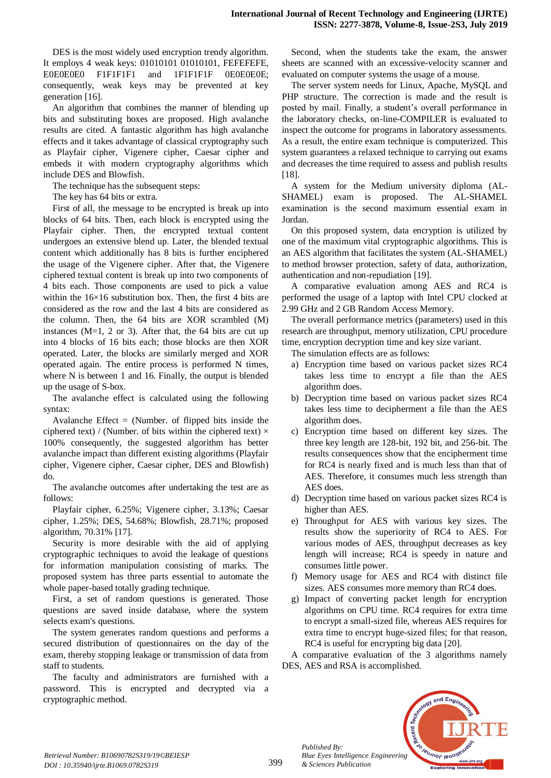DES is the most widely used encryption trendy algorithm. It employs 4 weak keys: 01010101 01010101, FEFEFEFE, E0E0E0E0 F1F1F1F1 and 1F1F1F1F 0E0E0E0E; consequently, weak keys may be prevented at key generation [16].

An algorithm that combines the manner of blending up bits and substituting boxes are proposed. High avalanche results are cited. A fantastic algorithm has high avalanche effects and it takes advantage of classical cryptography such as Playfair cipher, Vigenere cipher, Caesar cipher and embeds it with modern cryptography algorithms which include DES and Blowfish.

The technique has the subsequent steps:

The key has 64 bits or extra.

First of all, the message to be encrypted is break up into blocks of 64 bits. Then, each block is encrypted using the Playfair cipher. Then, the encrypted textual content undergoes an extensive blend up. Later, the blended textual content which additionally has 8 bits is further enciphered the usage of the Vigenere cipher. After that, the Vigenere ciphered textual content is break up into two components of 4 bits each. Those components are used to pick a value within the 16×16 substitution box. Then, the first 4 bits are considered as the row and the last 4 bits are considered as the column. Then, the 64 bits are XOR scrambled (M) instances  $(M=1, 2 \text{ or } 3)$ . After that, the 64 bits are cut up into 4 blocks of 16 bits each; those blocks are then XOR operated. Later, the blocks are similarly merged and XOR operated again. The entire process is performed N times, where N is between 1 and 16. Finally, the output is blended up the usage of S-box.

The avalanche effect is calculated using the following syntax:

Avalanche Effect  $=$  (Number. of flipped bits inside the ciphered text) / (Number. of bits within the ciphered text)  $\times$ 100% consequently, the suggested algorithm has better avalanche impact than different existing algorithms (Playfair cipher, Vigenere cipher, Caesar cipher, DES and Blowfish) do.

The avalanche outcomes after undertaking the test are as follows:

Playfair cipher, 6.25%; Vigenere cipher, 3.13%; Caesar cipher, 1.25%; DES, 54.68%; Blowfish, 28.71%; proposed algorithm, 70.31% [17].

Security is more desirable with the aid of applying cryptographic techniques to avoid the leakage of questions for information manipulation consisting of marks. The proposed system has three parts essential to automate the whole paper-based totally grading technique.

First, a set of random questions is generated. Those questions are saved inside database, where the system selects exam's questions.

The system generates random questions and performs a secured distribution of questionnaires on the day of the exam, thereby stopping leakage or transmission of data from staff to students.

The faculty and administrators are furnished with a password. This is encrypted and decrypted via a cryptographic method.

Second, when the students take the exam, the answer sheets are scanned with an excessive-velocity scanner and evaluated on computer systems the usage of a mouse.

The server system needs for Linux, Apache, MySQL and PHP structure. The correction is made and the result is posted by mail. Finally, a student's overall performance in the laboratory checks, on-line-COMPILER is evaluated to inspect the outcome for programs in laboratory assessments. As a result, the entire exam technique is computerized. This system guarantees a relaxed technique to carrying out exams and decreases the time required to assess and publish results [18].

A system for the Medium university diploma (AL-SHAMEL) exam is proposed. The AL-SHAMEL examination is the second maximum essential exam in Jordan.

On this proposed system, data encryption is utilized by one of the maximum vital cryptographic algorithms. This is an AES algorithm that facilitates the system (AL-SHAMEL) to method browser protection, safety of data, authorization, authentication and non-repudiation [19].

A comparative evaluation among AES and RC4 is performed the usage of a laptop with Intel CPU clocked at 2.99 GHz and 2 GB Random Access Memory.

The overall performance metrics (parameters) used in this research are throughput, memory utilization, CPU procedure time, encryption decryption time and key size variant.

The simulation effects are as follows:

- a) Encryption time based on various packet sizes RC4 takes less time to encrypt a file than the AES algorithm does.
- b) Decryption time based on various packet sizes RC4 takes less time to decipherment a file than the AES algorithm does.
- c) Encryption time based on different key sizes. The three key length are 128-bit, 192 bit, and 256-bit. The results consequences show that the encipherment time for RC4 is nearly fixed and is much less than that of AES. Therefore, it consumes much less strength than AES does.
- d) Decryption time based on various packet sizes RC4 is higher than AES.
- e) Throughput for AES with various key sizes. The results show the superiority of RC4 to AES. For various modes of AES, throughput decreases as key length will increase; RC4 is speedy in nature and consumes little power.
- f) Memory usage for AES and RC4 with distinct file sizes. AES consumes more memory than RC4 does.
- g) Impact of converting packet length for encryption algorithms on CPU time. RC4 requires for extra time to encrypt a small-sized file, whereas AES requires for extra time to encrypt huge-sized files; for that reason, RC4 is useful for encrypting big data [20].

A comparative evaluation of the 3 algorithms namely DES, AES and RSA is accomplished.



*Published By:*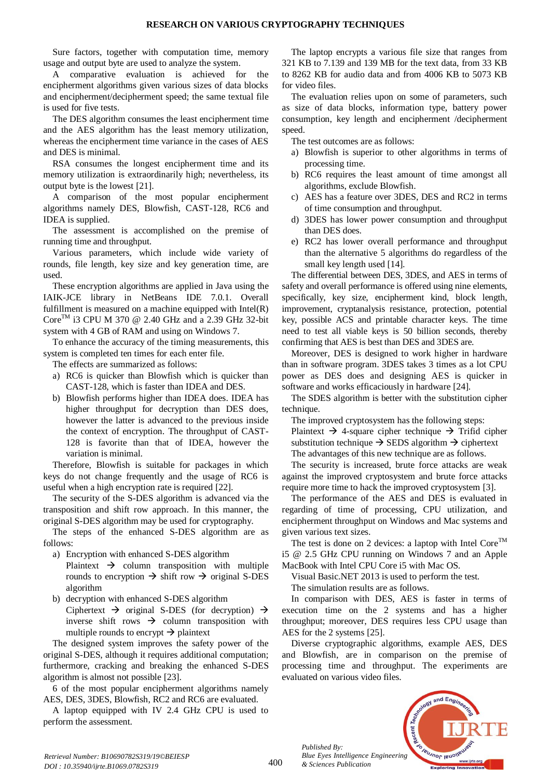Sure factors, together with computation time, memory usage and output byte are used to analyze the system.

A comparative evaluation is achieved for the encipherment algorithms given various sizes of data blocks and encipherment/decipherment speed; the same textual file is used for five tests.

The DES algorithm consumes the least encipherment time and the AES algorithm has the least memory utilization, whereas the encipherment time variance in the cases of AES and DES is minimal.

RSA consumes the longest encipherment time and its memory utilization is extraordinarily high; nevertheless, its output byte is the lowest [21].

A comparison of the most popular encipherment algorithms namely DES, Blowfish, CAST-128, RC6 and IDEA is supplied.

The assessment is accomplished on the premise of running time and throughput.

Various parameters, which include wide variety of rounds, file length, key size and key generation time, are used.

These encryption algorithms are applied in Java using the IAIK-JCE library in NetBeans IDE 7.0.1. Overall fulfillment is measured on a machine equipped with  $Intel(R)$  $Core^{TM}$  i3 CPU M 370 @ 2.40 GHz and a 2.39 GHz 32-bit system with 4 GB of RAM and using on Windows 7.

To enhance the accuracy of the timing measurements, this system is completed ten times for each enter file.

The effects are summarized as follows:

- a) RC6 is quicker than Blowfish which is quicker than CAST-128, which is faster than IDEA and DES.
- b) Blowfish performs higher than IDEA does. IDEA has higher throughput for decryption than DES does, however the latter is advanced to the previous inside the context of encryption. The throughput of CAST-128 is favorite than that of IDEA, however the variation is minimal.

Therefore, Blowfish is suitable for packages in which keys do not change frequently and the usage of RC6 is useful when a high encryption rate is required [22].

The security of the S-DES algorithm is advanced via the transposition and shift row approach. In this manner, the original S-DES algorithm may be used for cryptography.

The steps of the enhanced S-DES algorithm are as follows:

- a) Encryption with enhanced S-DES algorithm Plaintext  $\rightarrow$  column transposition with multiple rounds to encryption  $\rightarrow$  shift row  $\rightarrow$  original S-DES algorithm
- b) decryption with enhanced S-DES algorithm Ciphertext  $\rightarrow$  original S-DES (for decryption)  $\rightarrow$ inverse shift rows  $\rightarrow$  column transposition with multiple rounds to encrypt  $\rightarrow$  plaintext

The designed system improves the safety power of the original S-DES, although it requires additional computation; furthermore, cracking and breaking the enhanced S-DES algorithm is almost not possible [23].

6 of the most popular encipherment algorithms namely AES, DES, 3DES, Blowfish, RC2 and RC6 are evaluated.

A laptop equipped with IV 2.4 GHz CPU is used to perform the assessment.

The laptop encrypts a various file size that ranges from 321 KB to 7.139 and 139 MB for the text data, from 33 KB to 8262 KB for audio data and from 4006 KB to 5073 KB for video files.

The evaluation relies upon on some of parameters, such as size of data blocks, information type, battery power consumption, key length and encipherment /decipherment speed.

The test outcomes are as follows:

- a) Blowfish is superior to other algorithms in terms of processing time.
- b) RC6 requires the least amount of time amongst all algorithms, exclude Blowfish.
- c) AES has a feature over 3DES, DES and RC2 in terms of time consumption and throughput.
- d) 3DES has lower power consumption and throughput than DES does.
- e) RC2 has lower overall performance and throughput than the alternative 5 algorithms do regardless of the small key length used [14].

The differential between DES, 3DES, and AES in terms of safety and overall performance is offered using nine elements, specifically, key size, encipherment kind, block length, improvement, cryptanalysis resistance, protection, potential key, possible ACS and printable character keys. The time need to test all viable keys is 50 billion seconds, thereby confirming that AES is best than DES and 3DES are.

Moreover, DES is designed to work higher in hardware than in software program. 3DES takes 3 times as a lot CPU power as DES does and designing AES is quicker in software and works efficaciously in hardware [24].

The SDES algorithm is better with the substitution cipher technique.

The improved cryptosystem has the following steps:

Plaintext  $\rightarrow$  4-square cipher technique  $\rightarrow$  Trifid cipher substitution technique  $\rightarrow$  SEDS algorithm  $\rightarrow$  ciphertext

The advantages of this new technique are as follows.

The security is increased, brute force attacks are weak against the improved cryptosystem and brute force attacks require more time to hack the improved cryptosystem [3].

The performance of the AES and DES is evaluated in regarding of time of processing, CPU utilization, and encipherment throughput on Windows and Mac systems and given various text sizes.

The test is done on 2 devices: a laptop with Intel  $\text{Core}^{\text{TM}}$ i5 @ 2.5 GHz CPU running on Windows 7 and an Apple MacBook with Intel CPU Core i5 with Mac OS.

Visual Basic.NET 2013 is used to perform the test.

The simulation results are as follows.

In comparison with DES, AES is faster in terms of execution time on the 2 systems and has a higher throughput; moreover, DES requires less CPU usage than AES for the 2 systems [25].

Diverse cryptographic algorithms, example AES, DES and Blowfish, are in comparison on the premise of processing time and throughput. The experiments are evaluated on various video files.



*Published By: Blue Eyes Intelligence Engineering & Sciences Publication*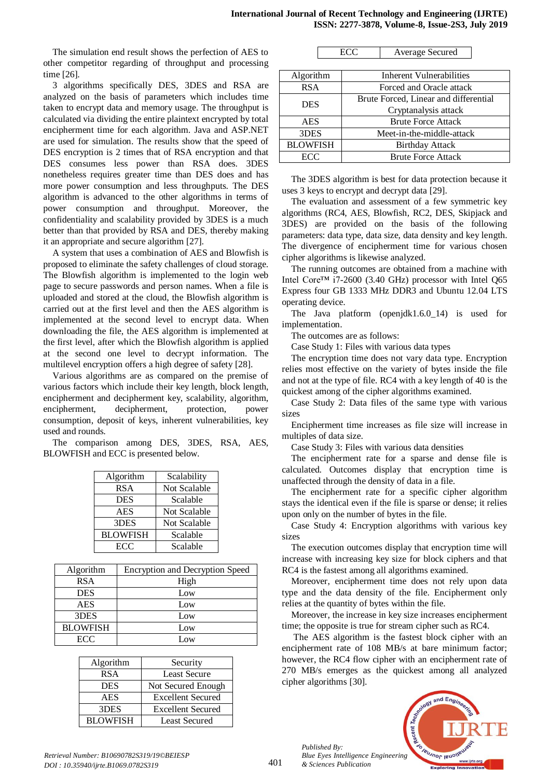The simulation end result shows the perfection of AES to other competitor regarding of throughput and processing time [26].

3 algorithms specifically DES, 3DES and RSA are analyzed on the basis of parameters which includes time taken to encrypt data and memory usage. The throughput is calculated via dividing the entire plaintext encrypted by total encipherment time for each algorithm. Java and ASP.NET are used for simulation. The results show that the speed of DES encryption is 2 times that of RSA encryption and that DES consumes less power than RSA does. 3DES nonetheless requires greater time than DES does and has more power consumption and less throughputs. The DES algorithm is advanced to the other algorithms in terms of power consumption and throughput. Moreover, the confidentiality and scalability provided by 3DES is a much better than that provided by RSA and DES, thereby making it an appropriate and secure algorithm [27].

A system that uses a combination of AES and Blowfish is proposed to eliminate the safety challenges of cloud storage. The Blowfish algorithm is implemented to the login web page to secure passwords and person names. When a file is uploaded and stored at the cloud, the Blowfish algorithm is carried out at the first level and then the AES algorithm is implemented at the second level to encrypt data. When downloading the file, the AES algorithm is implemented at the first level, after which the Blowfish algorithm is applied at the second one level to decrypt information. The multilevel encryption offers a high degree of safety [28].

Various algorithms are as compared on the premise of various factors which include their key length, block length, encipherment and decipherment key, scalability, algorithm, encipherment, decipherment, protection, power consumption, deposit of keys, inherent vulnerabilities, key used and rounds.

The comparison among DES, 3DES, RSA, AES, BLOWFISH and ECC is presented below.

| Algorithm       | Scalability  |
|-----------------|--------------|
| RSA             | Not Scalable |
| DES             | Scalable     |
| AES             | Not Scalable |
| 3DES            | Not Scalable |
| <b>BLOWFISH</b> | Scalable     |
| ECC             | Scalable     |

| Algorithm       | <b>Encryption and Decryption Speed</b> |
|-----------------|----------------------------------------|
| <b>RSA</b>      | High                                   |
| <b>DES</b>      | Low                                    |
| <b>AES</b>      | Low                                    |
| 3DES            | Low                                    |
| <b>BLOWFISH</b> | Low                                    |
| ECC             | $\Omega$                               |

| Algorithm       | Security                 |
|-----------------|--------------------------|
| <b>RSA</b>      | <b>Least Secure</b>      |
| <b>DES</b>      | Not Secured Enough       |
| <b>AES</b>      | <b>Excellent Secured</b> |
| 3DES            | <b>Excellent Secured</b> |
| <b>BLOWFISH</b> | <b>Least Secured</b>     |

ECC | Average Secured

| Algorithm       | <b>Inherent Vulnerabilities</b>       |  |  |
|-----------------|---------------------------------------|--|--|
| <b>RSA</b>      | Forced and Oracle attack              |  |  |
| <b>DES</b>      | Brute Forced, Linear and differential |  |  |
|                 | Cryptanalysis attack                  |  |  |
| <b>AES</b>      | <b>Brute Force Attack</b>             |  |  |
| 3DES            | Meet-in-the-middle-attack             |  |  |
| <b>BLOWFISH</b> | <b>Birthday Attack</b>                |  |  |
| ECC             | <b>Brute Force Attack</b>             |  |  |

The 3DES algorithm is best for data protection because it uses 3 keys to encrypt and decrypt data [29].

The evaluation and assessment of a few symmetric key algorithms (RC4, AES, Blowfish, RC2, DES, Skipjack and 3DES) are provided on the basis of the following parameters: data type, data size, data density and key length. The divergence of encipherment time for various chosen cipher algorithms is likewise analyzed.

The running outcomes are obtained from a machine with Intel Core™ i7-2600 (3.40 GHz) processor with Intel Q65 Express four GB 1333 MHz DDR3 and Ubuntu 12.04 LTS operating device.

The Java platform (openjdk1.6.0\_14) is used for implementation.

The outcomes are as follows:

Case Study 1: Files with various data types

The encryption time does not vary data type. Encryption relies most effective on the variety of bytes inside the file and not at the type of file. RC4 with a key length of 40 is the quickest among of the cipher algorithms examined.

Case Study 2: Data files of the same type with various sizes

Encipherment time increases as file size will increase in multiples of data size.

Case Study 3: Files with various data densities

The encipherment rate for a sparse and dense file is calculated. Outcomes display that encryption time is unaffected through the density of data in a file.

The encipherment rate for a specific cipher algorithm stays the identical even if the file is sparse or dense; it relies upon only on the number of bytes in the file.

Case Study 4: Encryption algorithms with various key sizes

The execution outcomes display that encryption time will increase with increasing key size for block ciphers and that RC4 is the fastest among all algorithms examined.

Moreover, encipherment time does not rely upon data type and the data density of the file. Encipherment only relies at the quantity of bytes within the file.

Moreover, the increase in key size increases encipherment time; the opposite is true for stream cipher such as RC4.

The AES algorithm is the fastest block cipher with an encipherment rate of 108 MB/s at bare minimum factor; however, the RC4 flow cipher with an encipherment rate of 270 MB/s emerges as the quickest among all analyzed cipher algorithms [30].



*Published By:*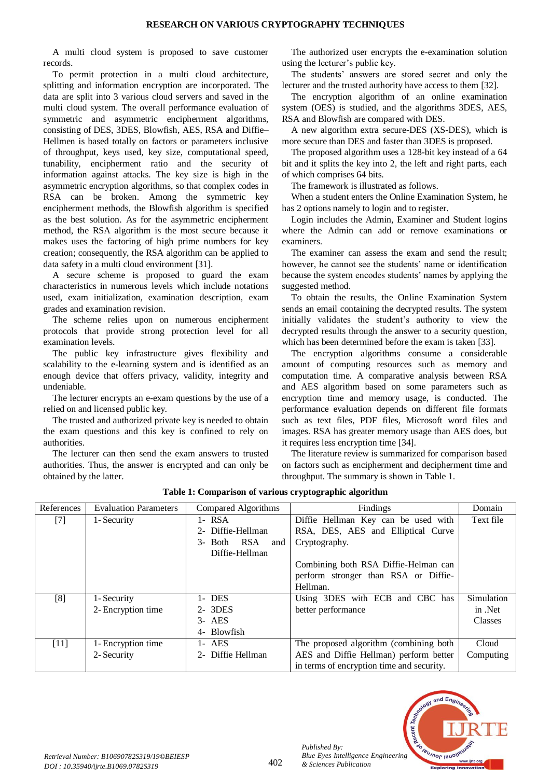A multi cloud system is proposed to save customer records.

To permit protection in a multi cloud architecture, splitting and information encryption are incorporated. The data are split into 3 various cloud servers and saved in the multi cloud system. The overall performance evaluation of symmetric and asymmetric encipherment algorithms, consisting of DES, 3DES, Blowfish, AES, RSA and Diffie– Hellmen is based totally on factors or parameters inclusive of throughput, keys used, key size, computational speed, tunability, encipherment ratio and the security of information against attacks. The key size is high in the asymmetric encryption algorithms, so that complex codes in RSA can be broken. Among the symmetric key encipherment methods, the Blowfish algorithm is specified as the best solution. As for the asymmetric encipherment method, the RSA algorithm is the most secure because it makes uses the factoring of high prime numbers for key creation; consequently, the RSA algorithm can be applied to data safety in a multi cloud environment [31].

A secure scheme is proposed to guard the exam characteristics in numerous levels which include notations used, exam initialization, examination description, exam grades and examination revision.

The scheme relies upon on numerous encipherment protocols that provide strong protection level for all examination levels.

The public key infrastructure gives flexibility and scalability to the e-learning system and is identified as an enough device that offers privacy, validity, integrity and undeniable.

The lecturer encrypts an e-exam questions by the use of a relied on and licensed public key.

The trusted and authorized private key is needed to obtain the exam questions and this key is confined to rely on authorities.

The lecturer can then send the exam answers to trusted authorities. Thus, the answer is encrypted and can only be obtained by the latter.

The authorized user encrypts the e-examination solution using the lecturer's public key.

The students' answers are stored secret and only the lecturer and the trusted authority have access to them [32].

The encryption algorithm of an online examination system (OES) is studied, and the algorithms 3DES, AES, RSA and Blowfish are compared with DES.

A new algorithm extra secure-DES (XS-DES), which is more secure than DES and faster than 3DES is proposed.

The proposed algorithm uses a 128-bit key instead of a 64 bit and it splits the key into 2, the left and right parts, each of which comprises 64 bits.

The framework is illustrated as follows.

When a student enters the Online Examination System, he has 2 options namely to login and to register.

Login includes the Admin, Examiner and Student logins where the Admin can add or remove examinations or examiners.

The examiner can assess the exam and send the result; however, he cannot see the students' name or identification because the system encodes students' names by applying the suggested method.

To obtain the results, the Online Examination System sends an email containing the decrypted results. The system initially validates the student's authority to view the decrypted results through the answer to a security question, which has been determined before the exam is taken [33].

The encryption algorithms consume a considerable amount of computing resources such as memory and computation time. A comparative analysis between RSA and AES algorithm based on some parameters such as encryption time and memory usage, is conducted. The performance evaluation depends on different file formats such as text files, PDF files, Microsoft word files and images. RSA has greater memory usage than AES does, but it requires less encryption time [34].

The literature review is summarized for comparison based on factors such as encipherment and decipherment time and throughput. The summary is shown in Table 1.

| References | <b>Evaluation Parameters</b> | Compared Algorithms   | Findings                                  | Domain     |
|------------|------------------------------|-----------------------|-------------------------------------------|------------|
| $[7]$      | 1- Security                  | $1 - RSA$             | Diffie Hellman Key can be used with       | Text file  |
|            |                              | 2- Diffie-Hellman     | RSA, DES, AES and Elliptical Curve        |            |
|            |                              | RSA<br>3- Both<br>and | Cryptography.                             |            |
|            |                              | Diffie-Hellman        |                                           |            |
|            |                              |                       | Combining both RSA Diffie-Helman can      |            |
|            |                              |                       | perform stronger than RSA or Diffie-      |            |
|            |                              |                       | Hellman.                                  |            |
| [8]        | 1 - Security                 | 1- DES                | Using 3DES with ECB and CBC has           | Simulation |
|            | 2- Encryption time           | 2- 3DES               | better performance                        | in .Net    |
|            |                              | $3 - AES$             |                                           | Classes    |
|            |                              | 4- Blowfish           |                                           |            |
| $[11]$     | 1- Encryption time           | $1 - AES$             | The proposed algorithm (combining both    | Cloud      |
|            | 2- Security                  | 2- Diffie Hellman     | AES and Diffie Hellman) perform better    | Computing  |
|            |                              |                       | in terms of encryption time and security. |            |

**Table 1: Comparison of various cryptographic algorithm**



*Published By:*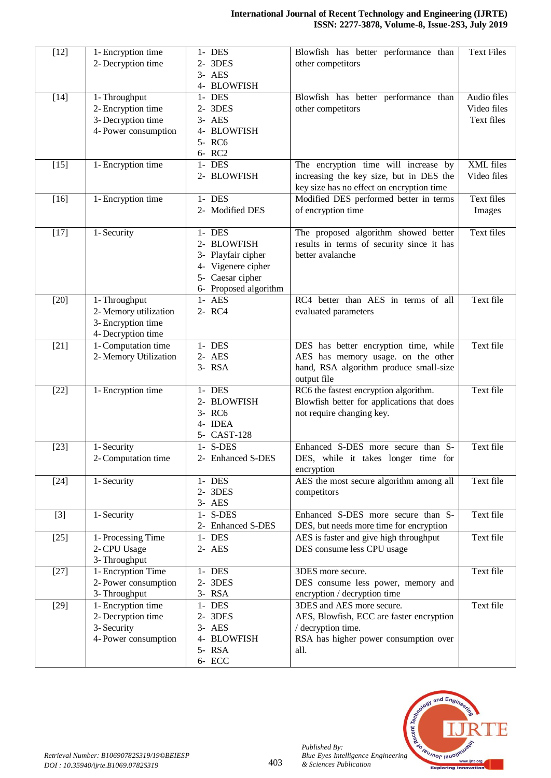| $[12]$ | 1- Encryption time<br>2- Decryption time                                          | $1 - DES$<br>2- 3DES<br>$3 - AES$<br>4- BLOWFISH                                                               | Blowfish has better performance than<br>other competitors                                                                                    | <b>Text Files</b>                        |
|--------|-----------------------------------------------------------------------------------|----------------------------------------------------------------------------------------------------------------|----------------------------------------------------------------------------------------------------------------------------------------------|------------------------------------------|
| $[14]$ | 1-Throughput<br>2- Encryption time<br>3- Decryption time<br>4- Power consumption  | 1- DES<br>2- 3DES<br>$3 - AES$<br>4- BLOWFISH<br>5- RC6<br>6- RC2                                              | Blowfish has better performance than<br>other competitors                                                                                    | Audio files<br>Video files<br>Text files |
| $[15]$ | 1- Encryption time                                                                | 1- DES<br>2- BLOWFISH                                                                                          | The encryption time will increase by<br>increasing the key size, but in DES the<br>key size has no effect on encryption time                 | XML files<br>Video files                 |
| $[16]$ | 1- Encryption time                                                                | 1- DES<br>2- Modified DES                                                                                      | Modified DES performed better in terms<br>of encryption time                                                                                 | Text files<br>Images                     |
| $[17]$ | 1- Security                                                                       | 1- DES<br>2- BLOWFISH<br>3- Playfair cipher<br>4- Vigenere cipher<br>5- Caesar cipher<br>6- Proposed algorithm | The proposed algorithm showed better<br>results in terms of security since it has<br>better avalanche                                        | Text files                               |
| $[20]$ | 1-Throughput<br>2- Memory utilization<br>3- Encryption time<br>4- Decryption time | $1 - AES$<br>2- RC4                                                                                            | RC4 better than AES in terms of all<br>evaluated parameters                                                                                  | Text file                                |
| $[21]$ | 1- Computation time<br>2- Memory Utilization                                      | $1 - DES$<br>2- AES<br>3-RSA                                                                                   | DES has better encryption time, while<br>AES has memory usage. on the other<br>hand, RSA algorithm produce small-size<br>output file         | Text file                                |
| $[22]$ | 1- Encryption time                                                                | $1 - DES$<br>2- BLOWFISH<br>3- RC6<br>4- IDEA<br>5- CAST-128                                                   | RC6 the fastest encryption algorithm.<br>Blowfish better for applications that does<br>not require changing key.                             | Text file                                |
| $[23]$ | 1-Security<br>2-Computation time                                                  | 1- S-DES<br>2- Enhanced S-DES                                                                                  | Enhanced S-DES more secure than S-<br>DES, while it takes longer time for<br>encryption                                                      | Text file                                |
| $[24]$ | 1-Security                                                                        | $1 - DES$<br>2- 3DES<br>$3- AES$                                                                               | AES the most secure algorithm among all<br>competitors                                                                                       | Text file                                |
| $[3]$  | 1- Security                                                                       | 1- S-DES<br>2- Enhanced S-DES                                                                                  | Enhanced S-DES more secure than S-<br>DES, but needs more time for encryption                                                                | Text file                                |
| $[25]$ | 1- Processing Time<br>2-CPU Usage<br>3-Throughput                                 | $1 - DES$<br>2- AES                                                                                            | AES is faster and give high throughput<br>DES consume less CPU usage                                                                         | Text file                                |
| $[27]$ | 1- Encryption Time<br>2- Power consumption<br>3-Throughput                        | $1 - DES$<br>2- 3DES<br>3-RSA                                                                                  | 3DES more secure.<br>DES consume less power, memory and<br>encryption / decryption time                                                      | Text file                                |
| $[29]$ | 1- Encryption time<br>2- Decryption time<br>3- Security<br>4- Power consumption   | $1 - DES$<br>2- 3DES<br>3- AES<br><b>BLOWFISH</b><br>4-<br>5-RSA<br>6- ECC                                     | 3DES and AES more secure.<br>AES, Blowfish, ECC are faster encryption<br>/ decryption time.<br>RSA has higher power consumption over<br>all. | Text file                                |



*Published By:*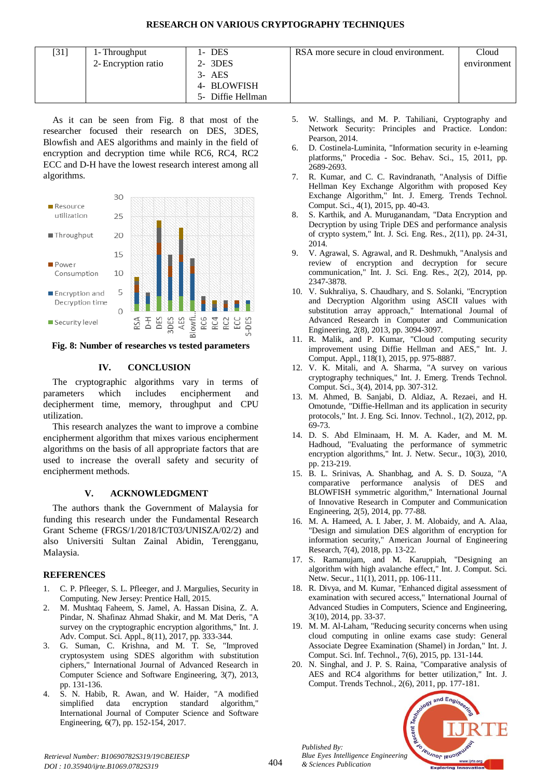# **RESEARCH ON VARIOUS CRYPTOGRAPHY TECHNIQUES**

| [31] | 1-Throughput<br>2- Encryption ratio | $1 - DES$<br>2- 3DES<br>$3 - AES$<br>4- BLOWFISH<br>5- Diffie Hellman | RSA more secure in cloud environment. | Cloud<br>environment |
|------|-------------------------------------|-----------------------------------------------------------------------|---------------------------------------|----------------------|
|      |                                     |                                                                       |                                       |                      |

As it can be seen from Fig. 8 that most of the researcher focused their research on DES, 3DES, Blowfish and AES algorithms and mainly in the field of encryption and decryption time while RC6, RC4, RC2 ECC and D-H have the lowest research interest among all algorithms.



**Fig. 8: Number of researches vs tested parameters**

# **IV. CONCLUSION**

The cryptographic algorithms vary in terms of parameters which includes encipherment and decipherment time, memory, throughput and CPU utilization.

This research analyzes the want to improve a combine encipherment algorithm that mixes various encipherment algorithms on the basis of all appropriate factors that are used to increase the overall safety and security of encipherment methods.

## **V. ACKNOWLEDGMENT**

The authors thank the Government of Malaysia for funding this research under the Fundamental Research Grant Scheme (FRGS/1/2018/ICT03/UNISZA/02/2) and also Universiti Sultan Zainal Abidin, Terengganu, Malaysia*.*

# **REFERENCES**

- 1. C. P. Pfleeger, S. L. Pfleeger, and J. Margulies, Security in Computing. New Jersey: Prentice Hall, 2015.
- 2. M. Mushtaq Faheem, S. Jamel, A. Hassan Disina, Z. A. Pindar, N. Shafinaz Ahmad Shakir, and M. Mat Deris, "A survey on the cryptographic encryption algorithms," Int. J. Adv. Comput. Sci. Appl., 8(11), 2017, pp. 333-344.
- 3. G. Suman, C. Krishna, and M. T. Se, "Improved cryptosystem using SDES algorithm with substitution ciphers," International Journal of Advanced Research in Computer Science and Software Engineering, 3(7), 2013, pp. 131-136.
- 4. S. N. Habib, R. Awan, and W. Haider, "A modified simplified data encryption standard algorithm," International Journal of Computer Science and Software Engineering, 6(7), pp. 152-154, 2017.
- 5. W. Stallings, and M. P. Tahiliani, Cryptography and Network Security: Principles and Practice. London: Pearson, 2014.
- 6. D. Costinela-Luminita, "Information security in e-learning platforms," Procedia - Soc. Behav. Sci., 15, 2011, pp. 2689-2693.
- 7. R. Kumar, and C. C. Ravindranath, "Analysis of Diffie Hellman Key Exchange Algorithm with proposed Key Exchange Algorithm," Int. J. Emerg. Trends Technol. Comput. Sci., 4(1), 2015, pp. 40-43.
- 8. S. Karthik, and A. Muruganandam, "Data Encryption and Decryption by using Triple DES and performance analysis of crypto system," Int. J. Sci. Eng. Res., 2(11), pp. 24-31, 2014.
- 9. V. Agrawal, S. Agrawal, and R. Deshmukh, "Analysis and review of encryption and decryption for secure communication," Int. J. Sci. Eng. Res., 2(2), 2014, pp. 2347-3878.
- 10. V. Sukhraliya, S. Chaudhary, and S. Solanki, "Encryption and Decryption Algorithm using ASCII values with substitution array approach," International Journal of Advanced Research in Computer and Communication Engineering, 2(8), 2013, pp. 3094-3097.
- 11. R. Malik, and P. Kumar, "Cloud computing security improvement using Diffie Hellman and AES," Int. J. Comput. Appl., 118(1), 2015, pp. 975-8887.
- 12. V. K. Mitali, and A. Sharma, "A survey on various cryptography techniques," Int. J. Emerg. Trends Technol. Comput. Sci., 3(4), 2014, pp. 307-312.
- 13. M. Ahmed, B. Sanjabi, D. Aldiaz, A. Rezaei, and H. Omotunde, "Diffie-Hellman and its application in security protocols," Int. J. Eng. Sci. Innov. Technol., 1(2), 2012, pp. 69-73.
- 14. D. S. Abd Elminaam, H. M. A. Kader, and M. M. Hadhoud, "Evaluating the performance of symmetric encryption algorithms," Int. J. Netw. Secur., 10(3), 2010, pp. 213-219.
- 15. B. L. Srinivas, A. Shanbhag, and A. S. D. Souza, "A comparative performance analysis of DES and BLOWFISH symmetric algorithm," International Journal of Innovative Research in Computer and Communication Engineering, 2(5), 2014, pp. 77-88.
- 16. M. A. Hameed, A. I. Jaber, J. M. Alobaidy, and A. Alaa, "Design and simulation DES algorithm of encryption for information security," American Journal of Engineering Research, 7(4), 2018, pp. 13-22.
- 17. S. Ramanujam, and M. Karuppiah, "Designing an algorithm with high avalanche effect," Int. J. Comput. Sci. Netw. Secur., 11(1), 2011, pp. 106-111.
- 18. R. Divya, and M. Kumar, "Enhanced digital assessment of examination with secured access," International Journal of Advanced Studies in Computers, Science and Engineering, 3(10), 2014, pp. 33-37.
- 19. M. M. Al-Laham, "Reducing security concerns when using cloud computing in online exams case study: General Associate Degree Examination (Shamel) in Jordan," Int. J. Comput. Sci. Inf. Technol., 7(6), 2015, pp. 131-144.
- 20. N. Singhal, and J. P. S. Raina, "Comparative analysis of AES and RC4 algorithms for better utilization," Int. J. Comput. Trends Technol., 2(6), 2011, pp. 177-181.



*Published By:*